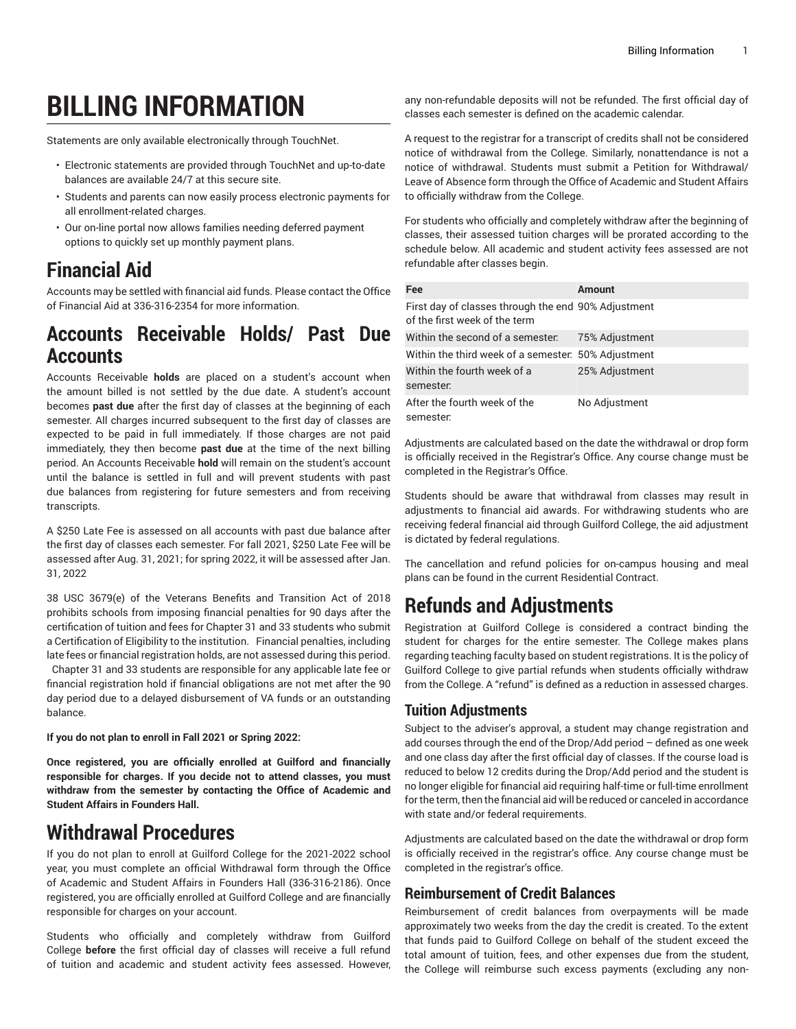# **BILLING INFORMATION**

Statements are only available electronically through TouchNet.

- Electronic statements are provided through TouchNet and up-to-date balances are available 24/7 at this secure site.
- Students and parents can now easily process electronic payments for all enrollment-related charges.
- Our on-line portal now allows families needing deferred payment options to quickly set up monthly payment plans.

## **Financial Aid**

Accounts may be settled with financial aid funds. Please contact the Office of Financial Aid at 336-316-2354 for more information.

#### **Accounts Receivable Holds/ Past Due Accounts**

Accounts Receivable **holds** are placed on a student's account when the amount billed is not settled by the due date. A student's account becomes **past due** after the first day of classes at the beginning of each semester. All charges incurred subsequent to the first day of classes are expected to be paid in full immediately. If those charges are not paid immediately, they then become **past due** at the time of the next billing period. An Accounts Receivable **hold** will remain on the student's account until the balance is settled in full and will prevent students with past due balances from registering for future semesters and from receiving transcripts.

A \$250 Late Fee is assessed on all accounts with past due balance after the first day of classes each semester. For fall 2021, \$250 Late Fee will be assessed after Aug. 31, 2021; for spring 2022, it will be assessed after Jan. 31, 2022

38 USC 3679(e) of the Veterans Benefits and Transition Act of 2018 prohibits schools from imposing financial penalties for 90 days after the certification of tuition and fees for Chapter 31 and 33 students who submit a Certification of Eligibility to the institution. Financial penalties, including late fees or financial registration holds, are not assessed during this period. Chapter 31 and 33 students are responsible for any applicable late fee or financial registration hold if financial obligations are not met after the 90 day period due to a delayed disbursement of VA funds or an outstanding balance.

**If you do not plan to enroll in Fall 2021 or Spring 2022:**

**Once registered, you are officially enrolled at Guilford and financially responsible for charges. If you decide not to attend classes, you must withdraw from the semester by contacting the Office of Academic and Student Affairs in Founders Hall.**

## **Withdrawal Procedures**

If you do not plan to enroll at Guilford College for the 2021-2022 school year, you must complete an official Withdrawal form through the Office of Academic and Student Affairs in Founders Hall (336-316-2186). Once registered, you are officially enrolled at Guilford College and are financially responsible for charges on your account.

Students who officially and completely withdraw from Guilford College **before** the first official day of classes will receive a full refund of tuition and academic and student activity fees assessed. However,

any non-refundable deposits will not be refunded. The first official day of classes each semester is defined on the academic calendar.

A request to the registrar for a transcript of credits shall not be considered notice of withdrawal from the College. Similarly, nonattendance is not a notice of withdrawal. Students must submit a Petition for Withdrawal/ Leave of Absence form through the Office of Academic and Student Affairs to officially withdraw from the College.

For students who officially and completely withdraw after the beginning of classes, their assessed tuition charges will be prorated according to the schedule below. All academic and student activity fees assessed are not refundable after classes begin.

| Fee                                                                                  | <b>Amount</b>  |
|--------------------------------------------------------------------------------------|----------------|
| First day of classes through the end 90% Adjustment<br>of the first week of the term |                |
| Within the second of a semester.                                                     | 75% Adjustment |
| Within the third week of a semester. 50% Adjustment                                  |                |
| Within the fourth week of a<br>semester.                                             | 25% Adjustment |
| After the fourth week of the<br>semester.                                            | No Adjustment  |

Adjustments are calculated based on the date the withdrawal or drop form is officially received in the Registrar's Office. Any course change must be completed in the Registrar's Office.

Students should be aware that withdrawal from classes may result in adjustments to financial aid awards. For withdrawing students who are receiving federal financial aid through Guilford College, the aid adjustment is dictated by federal regulations.

The cancellation and refund policies for on-campus housing and meal plans can be found in the current Residential Contract.

## **Refunds and Adjustments**

Registration at Guilford College is considered a contract binding the student for charges for the entire semester. The College makes plans regarding teaching faculty based on student registrations. It is the policy of Guilford College to give partial refunds when students officially withdraw from the College. A "refund" is defined as a reduction in assessed charges.

#### **Tuition Adjustments**

Subject to the adviser's approval, a student may change registration and add courses through the end of the Drop/Add period – defined as one week and one class day after the first official day of classes. If the course load is reduced to below 12 credits during the Drop/Add period and the student is no longer eligible for financial aid requiring half-time or full-time enrollment for the term, then the financial aid will be reduced or canceled in accordance with state and/or federal requirements.

Adjustments are calculated based on the date the withdrawal or drop form is officially received in the registrar's office. Any course change must be completed in the registrar's office.

#### **Reimbursement of Credit Balances**

Reimbursement of credit balances from overpayments will be made approximately two weeks from the day the credit is created. To the extent that funds paid to Guilford College on behalf of the student exceed the total amount of tuition, fees, and other expenses due from the student, the College will reimburse such excess payments (excluding any non-